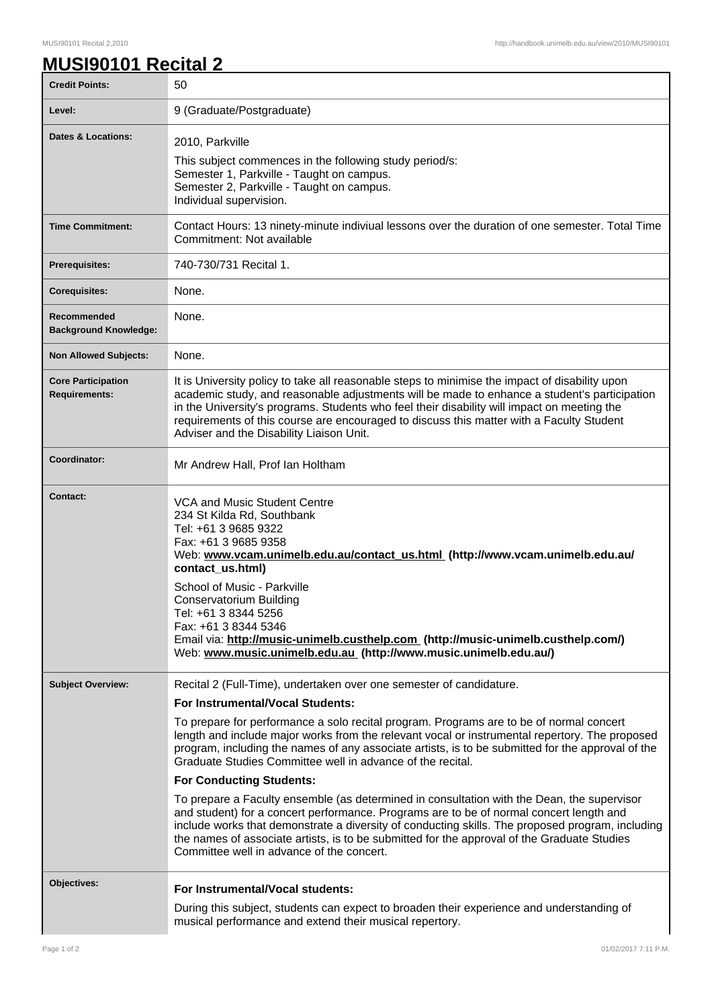## **MUSI90101 Recital 2**

| <b>Credit Points:</b>                             | 50                                                                                                                                                                                                                                                                                                                                                                                                                                                                                                                                                                                                                                                                                                                                                                                                                                                                                                                                                         |
|---------------------------------------------------|------------------------------------------------------------------------------------------------------------------------------------------------------------------------------------------------------------------------------------------------------------------------------------------------------------------------------------------------------------------------------------------------------------------------------------------------------------------------------------------------------------------------------------------------------------------------------------------------------------------------------------------------------------------------------------------------------------------------------------------------------------------------------------------------------------------------------------------------------------------------------------------------------------------------------------------------------------|
| Level:                                            | 9 (Graduate/Postgraduate)                                                                                                                                                                                                                                                                                                                                                                                                                                                                                                                                                                                                                                                                                                                                                                                                                                                                                                                                  |
| <b>Dates &amp; Locations:</b>                     | 2010, Parkville<br>This subject commences in the following study period/s:<br>Semester 1, Parkville - Taught on campus.<br>Semester 2, Parkville - Taught on campus.<br>Individual supervision.                                                                                                                                                                                                                                                                                                                                                                                                                                                                                                                                                                                                                                                                                                                                                            |
| <b>Time Commitment:</b>                           | Contact Hours: 13 ninety-minute indiviual lessons over the duration of one semester. Total Time<br>Commitment: Not available                                                                                                                                                                                                                                                                                                                                                                                                                                                                                                                                                                                                                                                                                                                                                                                                                               |
| <b>Prerequisites:</b>                             | 740-730/731 Recital 1.                                                                                                                                                                                                                                                                                                                                                                                                                                                                                                                                                                                                                                                                                                                                                                                                                                                                                                                                     |
| <b>Corequisites:</b>                              | None.                                                                                                                                                                                                                                                                                                                                                                                                                                                                                                                                                                                                                                                                                                                                                                                                                                                                                                                                                      |
| Recommended<br><b>Background Knowledge:</b>       | None.                                                                                                                                                                                                                                                                                                                                                                                                                                                                                                                                                                                                                                                                                                                                                                                                                                                                                                                                                      |
| <b>Non Allowed Subjects:</b>                      | None.                                                                                                                                                                                                                                                                                                                                                                                                                                                                                                                                                                                                                                                                                                                                                                                                                                                                                                                                                      |
| <b>Core Participation</b><br><b>Requirements:</b> | It is University policy to take all reasonable steps to minimise the impact of disability upon<br>academic study, and reasonable adjustments will be made to enhance a student's participation<br>in the University's programs. Students who feel their disability will impact on meeting the<br>requirements of this course are encouraged to discuss this matter with a Faculty Student<br>Adviser and the Disability Liaison Unit.                                                                                                                                                                                                                                                                                                                                                                                                                                                                                                                      |
| Coordinator:                                      | Mr Andrew Hall, Prof Ian Holtham                                                                                                                                                                                                                                                                                                                                                                                                                                                                                                                                                                                                                                                                                                                                                                                                                                                                                                                           |
| <b>Contact:</b>                                   | VCA and Music Student Centre<br>234 St Kilda Rd, Southbank<br>Tel: +61 3 9685 9322<br>Fax: +61 3 9685 9358<br>Web: www.vcam.unimelb.edu.au/contact_us.html (http://www.vcam.unimelb.edu.au/<br>contact_us.html)<br>School of Music - Parkville<br><b>Conservatorium Building</b><br>Tel: +61 3 8344 5256<br>Fax: +61 3 8344 5346<br>Email via: http://music-unimelb.custhelp.com (http://music-unimelb.custhelp.com/)<br>Web: www.music.unimelb.edu.au (http://www.music.unimelb.edu.au/)                                                                                                                                                                                                                                                                                                                                                                                                                                                                  |
| <b>Subject Overview:</b>                          | Recital 2 (Full-Time), undertaken over one semester of candidature.<br><b>For Instrumental/Vocal Students:</b><br>To prepare for performance a solo recital program. Programs are to be of normal concert<br>length and include major works from the relevant vocal or instrumental repertory. The proposed<br>program, including the names of any associate artists, is to be submitted for the approval of the<br>Graduate Studies Committee well in advance of the recital.<br><b>For Conducting Students:</b><br>To prepare a Faculty ensemble (as determined in consultation with the Dean, the supervisor<br>and student) for a concert performance. Programs are to be of normal concert length and<br>include works that demonstrate a diversity of conducting skills. The proposed program, including<br>the names of associate artists, is to be submitted for the approval of the Graduate Studies<br>Committee well in advance of the concert. |
| Objectives:                                       | For Instrumental/Vocal students:<br>During this subject, students can expect to broaden their experience and understanding of<br>musical performance and extend their musical repertory.                                                                                                                                                                                                                                                                                                                                                                                                                                                                                                                                                                                                                                                                                                                                                                   |